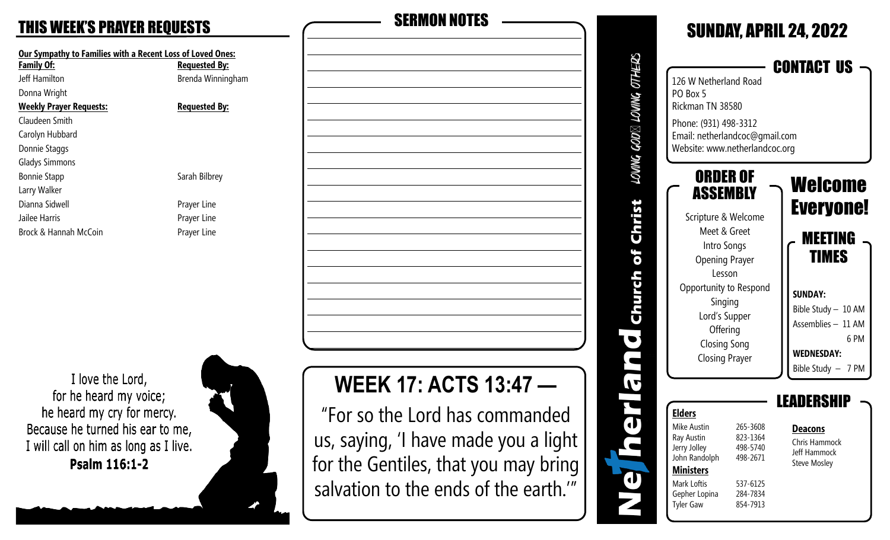## **THIS WEEK'S PRAYER REQUESTS**

| Our Sympathy to Families with a Recent Loss of Loved Ones: |                      |  |  |
|------------------------------------------------------------|----------------------|--|--|
| <b>Family Of:</b>                                          | <b>Requested By:</b> |  |  |
| Jeff Hamilton                                              | Brenda Winningham    |  |  |
| Donna Wright                                               |                      |  |  |
| <b>Weekly Prayer Requests:</b>                             | <b>Requested By:</b> |  |  |
| Claudeen Smith                                             |                      |  |  |
| Carolyn Hubbard                                            |                      |  |  |
| Donnie Staggs                                              |                      |  |  |
| <b>Gladys Simmons</b>                                      |                      |  |  |
| <b>Bonnie Stapp</b>                                        | Sarah Bilbrey        |  |  |
| Larry Walker                                               |                      |  |  |
| Dianna Sidwell                                             | Prayer Line          |  |  |
| Jailee Harris                                              | Prayer Line          |  |  |
| Brock & Hannah McCoin                                      | Prayer Line          |  |  |

I love the Lord, for he heard my voice; he heard my cry for mercy. Because he turned his ear to me, I will call on him as long as I live. Psalm 116:1-2



| <b>SERMON NOTES</b>            |  |  |
|--------------------------------|--|--|
|                                |  |  |
|                                |  |  |
|                                |  |  |
|                                |  |  |
|                                |  |  |
|                                |  |  |
|                                |  |  |
|                                |  |  |
|                                |  |  |
|                                |  |  |
|                                |  |  |
|                                |  |  |
|                                |  |  |
|                                |  |  |
|                                |  |  |
|                                |  |  |
| <b>WEEK 17: ACTS 13:47 -</b>   |  |  |
| "For so the Lord has commanded |  |  |

us, saying, 'I have made you a light

for the Gentiles, that you may bring

salvation to the ends of the earth.'"

SUNDAY, APRIL 24, 2022 LOVING GOD⊠ LOVING OTHERS CONTACT US 126 W Netherland Road PO Box 5 Rickman TN 38580 Phone: (931) 498-3312 Email: netherlandcoc@gmail.com Website: www.netherlandcoc.org ORDER OF Welcome **ASSEMBLY** Christ Everyone! Scripture & Welcome Meet & Greet MEETING Intro Songs Church of TIMES Opening Prayer Lesson Opportunity to Respond **SUNDAY:** Singing Bible Study – 10 AM Lord's Supper Assemblies – 11 AM **Offering**  $\overline{\mathbf{C}}$  6 PM Closing Song n **WEDNESDAY:** Closing Prayer Bible Study – 7 PM IT LEADERSHIP **Elders**  $\overline{\mathbf{u}}$ Mike Austin 265-3608 **Deacons** Ray Austin 823-1364 Chris Hammock Jerry Jolley 498-5740 Jeff Hammock John Randolph 498-2671 Steve Mosley **Ministers**  $\mathbf d$ Mark Loftis 537-6125 Gepher Lopina 284-7834 Tyler Gaw 854-7913